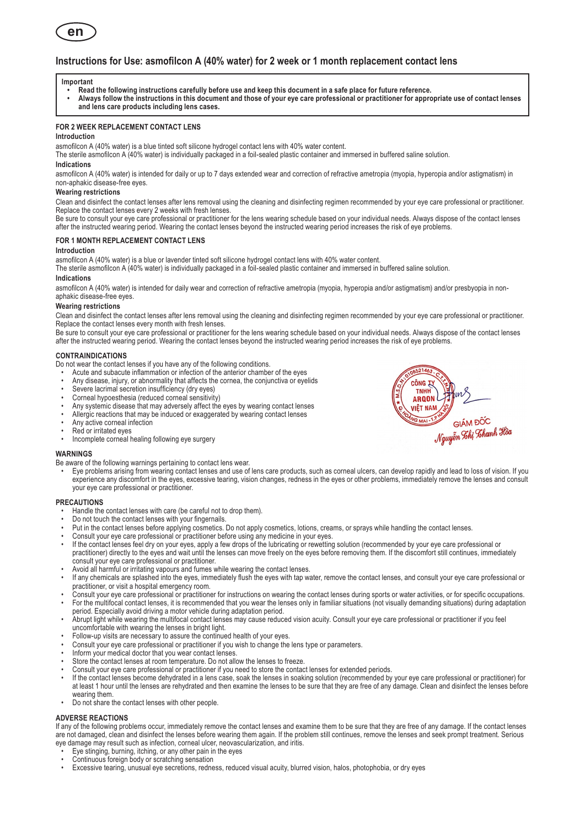

# **Instructions for Use: asmofilcon A (40% water) for 2 week or 1 month replacement contact lens**

#### **Important**

- **• Read the following instructions carefully before use and keep this document in a safe place for future reference.**
- **• Always follow the instructions in this document and those of your eye care professional or practitioner for appropriate use of contact lenses and lens care products including lens cases.**

## **For 2 week replacement contact lens**

# **Introduction**

asmofilcon A (40% water) is a blue tinted soft silicone hydrogel contact lens with 40% water content.

The sterile asmofilcon A (40% water) is individually packaged in a foil-sealed plastic container and immersed in buffered saline solution.

# **Indications**

asmofilcon A (40% water) is intended for daily or up to 7 days extended wear and correction of refractive ametropia (myopia, hyperopia and/or astigmatism) in non-aphakic disease-free eyes.

#### **Wearing restrictions**

Clean and disinfect the contact lenses after lens removal using the cleaning and disinfecting regimen recommended by your eye care professional or practitioner. Replace the contact lenses every 2 weeks with fresh lenses.

Be sure to consult your eye care professional or practitioner for the lens wearing schedule based on your individual needs. Always dispose of the contact lenses after the instructed wearing period. Wearing the contact lenses beyond the instructed wearing period increases the risk of eye problems.

# **For 1 month replacement contact lens**

#### **Introduction**

asmofilcon A (40% water) is a blue or lavender tinted soft silicone hydrogel contact lens with 40% water content.

The sterile asmofilcon A (40% water) is individually packaged in a foil-sealed plastic container and immersed in buffered saline solution.

# **Indications**

asmofilcon A (40% water) is intended for daily wear and correction of refractive ametropia (myopia, hyperopia and/or astigmatism) and/or presbyopia in nonaphakic disease-free eyes.

## **Wearing restrictions**

Clean and disinfect the contact lenses after lens removal using the cleaning and disinfecting regimen recommended by your eye care professional or practitioner. Replace the contact lenses every month with fresh lenses.

Be sure to consult your eye care professional or practitioner for the lens wearing schedule based on your individual needs. Always dispose of the contact lenses after the instructed wearing period. Wearing the contact lenses beyond the instructed wearing period increases the risk of eye problems.

#### **CONTRAINDICATIONS**

Do not wear the contact lenses if you have any of the following conditions.

- Acute and subacute inflammation or infection of the anterior chamber of the eyes
- Any disease, injury, or abnormality that affects the cornea, the conjunctiva or eyelids
- Severe lacrimal secretion insufficiency (dry eyes)
- Corneal hypoesthesia (reduced corneal sensitivity)
- Any systemic disease that may adversely affect the eyes by wearing contact lenses
- Allergic reactions that may be induced or exaggerated by wearing contact lenses
- Any active corneal infection
- Red or irritated eyes
- Incomplete corneal healing following eye surgery

## **WARNINGS**

- Be aware of the following warnings pertaining to contact lens wear.
	- Eye problems arising from wearing contact lenses and use of lens care products, such as corneal ulcers, can develop rapidly and lead to loss of vision. If you experience any discomfort in the eyes, excessive tearing, vision changes, redness in the eyes or other problems, immediately remove the lenses and consult your eye care professional or practitioner.

#### **PRECAUTIONS**

- Handle the contact lenses with care (be careful not to drop them).
- Do not touch the contact lenses with your fingernails.
- Put in the contact lenses before applying cosmetics. Do not apply cosmetics, lotions, creams, or sprays while handling the contact lenses.
- Consult your eye care professional or practitioner before using any medicine in your eyes.
- If the contact lenses feel dry on your eyes, apply a few drops of the lubricating or rewetting solution (recommended by your eye care professional or practitioner) directly to the eyes and wait until the lenses can move freely on the eyes before removing them. If the discomfort still continues, immediately consult your eye care professional or practitioner.
- Avoid all harmful or irritating vapours and fumes while wearing the contact lenses.
- If any chemicals are splashed into the eyes, immediately flush the eyes with tap water, remove the contact lenses, and consult your eye care professional or practitioner, or visit a hospital emergency room.
- Consult your eye care professional or practitioner for instructions on wearing the contact lenses during sports or water activities, or for specific occupations.
- For the multifocal contact lenses, it is recommended that you wear the lenses only in familiar situations (not visually demanding situations) during adaptation period. Especially avoid driving a motor vehicle during adaptation period.
- Abrupt light while wearing the multifocal contact lenses may cause reduced vision acuity. Consult your eye care professional or practitioner if you feel uncomfortable with wearing the lenses in bright light.
- Follow-up visits are necessary to assure the continued health of your eyes.
- Consult your eye care professional or practitioner if you wish to change the lens type or parameters.
- Inform your medical doctor that you wear contact lenses.
- Store the contact lenses at room temperature. Do not allow the lenses to freeze.
- Consult your eye care professional or practitioner if you need to store the contact lenses for extended periods.
- If the contact lenses become dehydrated in a lens case, soak the lenses in soaking solution (recommended by your eye care professional or practitioner) for at least 1 hour until the lenses are rehydrated and then examine the lenses to be sure that they are free of any damage. Clean and disinfect the lenses before wearing them.
- Do not share the contact lenses with other people.

## **ADVERSE REACTIONS**

If any of the following problems occur, immediately remove the contact lenses and examine them to be sure that they are free of any damage. If the contact lenses are not damaged, clean and disinfect the lenses before wearing them again. If the problem still continues, remove the lenses and seek prompt treatment. Serious eye damage may result such as infection, corneal ulcer, neovascularization, and iritis.

- Eye stinging, burning, itching, or any other pain in the eyes
- Continuous foreign body or scratching sensation
- Excessive tearing, unusual eye secretions, redness, reduced visual acuity, blurred vision, halos, photophobia, or dry eyes